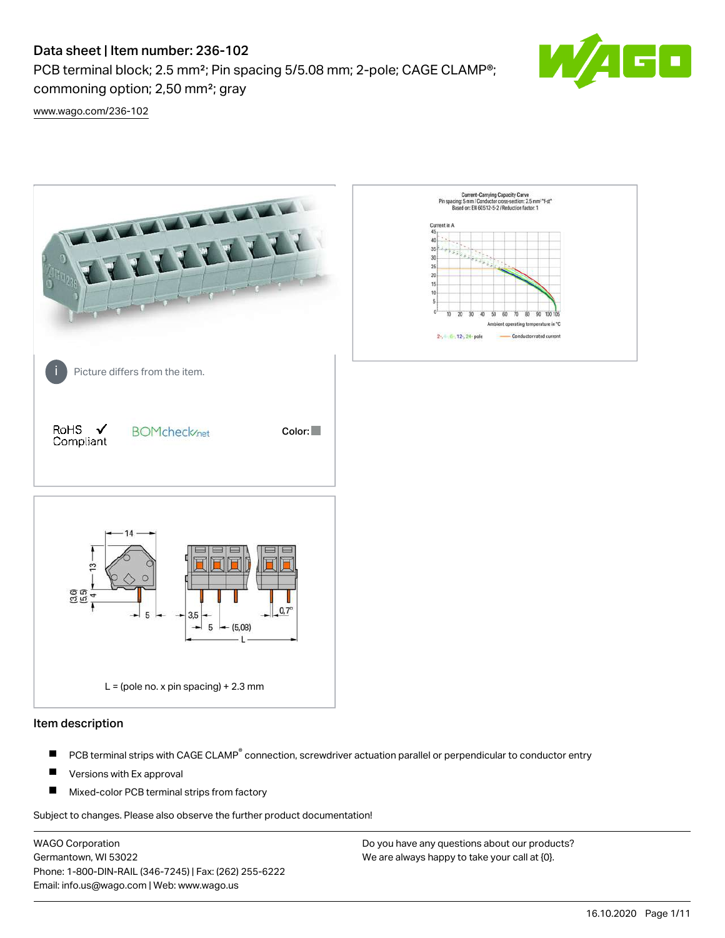PCB terminal block; 2.5 mm<sup>2</sup>; Pin spacing 5/5.08 mm; 2-pole; CAGE CLAMP<sup>®</sup>; commoning option; 2,50 mm²; gray



[www.wago.com/236-102](http://www.wago.com/236-102)



#### Item description

- PCB terminal strips with CAGE CLAMP<sup>®</sup> connection, screwdriver actuation parallel or perpendicular to conductor entry П
- П Versions with Ex approval
- П Mixed-color PCB terminal strips from factory

Subject to changes. Please also observe the further product documentation!

WAGO Corporation Germantown, WI 53022 Phone: 1-800-DIN-RAIL (346-7245) | Fax: (262) 255-6222 Email: info.us@wago.com | Web: www.wago.us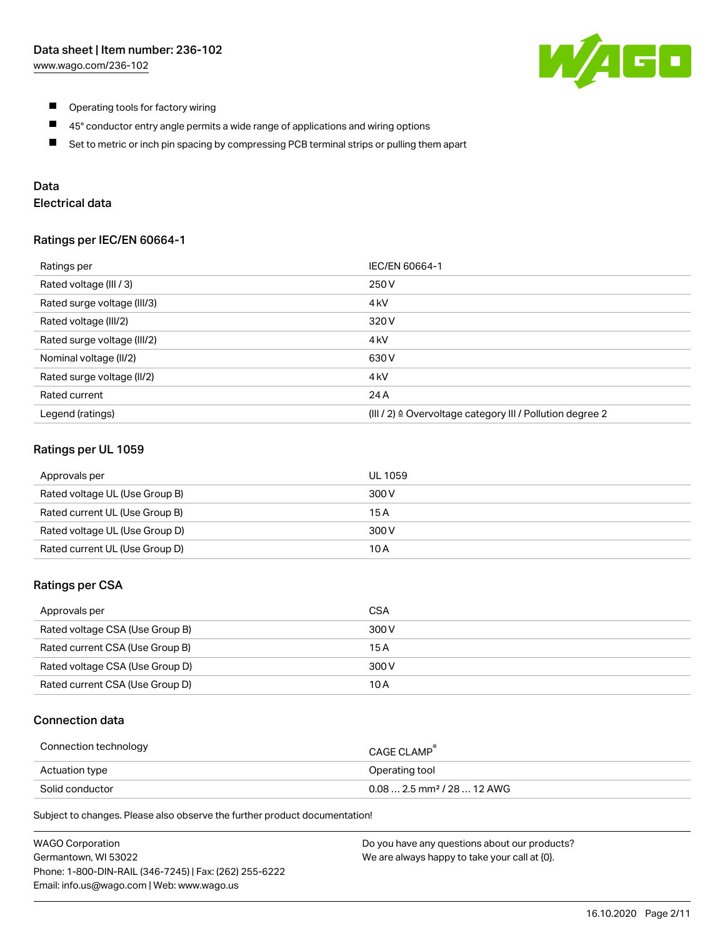

- $\blacksquare$ Operating tools for factory wiring
- $\blacksquare$ 45° conductor entry angle permits a wide range of applications and wiring options
- $\blacksquare$ Set to metric or inch pin spacing by compressing PCB terminal strips or pulling them apart

## Data

## Electrical data

#### Ratings per IEC/EN 60664-1

| Ratings per                 | IEC/EN 60664-1                                                        |
|-----------------------------|-----------------------------------------------------------------------|
| Rated voltage (III / 3)     | 250 V                                                                 |
| Rated surge voltage (III/3) | 4 <sub>k</sub> V                                                      |
| Rated voltage (III/2)       | 320 V                                                                 |
| Rated surge voltage (III/2) | 4 <sub>k</sub> V                                                      |
| Nominal voltage (II/2)      | 630 V                                                                 |
| Rated surge voltage (II/2)  | 4 <sub>k</sub> V                                                      |
| Rated current               | 24 A                                                                  |
| Legend (ratings)            | $(III / 2)$ $\triangle$ Overvoltage category III / Pollution degree 2 |

### Ratings per UL 1059

| Approvals per                  | UL 1059 |
|--------------------------------|---------|
| Rated voltage UL (Use Group B) | 300 V   |
| Rated current UL (Use Group B) | 15 A    |
| Rated voltage UL (Use Group D) | 300 V   |
| Rated current UL (Use Group D) | 10 A    |

#### Ratings per CSA

| Approvals per                   | CSA   |
|---------------------------------|-------|
| Rated voltage CSA (Use Group B) | 300 V |
| Rated current CSA (Use Group B) | 15 A  |
| Rated voltage CSA (Use Group D) | 300 V |
| Rated current CSA (Use Group D) | 10 A  |

## Connection data

| Connection technology | CAGE CLAMP                              |
|-----------------------|-----------------------------------------|
| Actuation type        | Operating tool                          |
| Solid conductor       | $0.08$ 2.5 mm <sup>2</sup> / 28  12 AWG |

Subject to changes. Please also observe the further product documentation!

| <b>WAGO Corporation</b>                                | Do you have any questions about our products? |
|--------------------------------------------------------|-----------------------------------------------|
| Germantown, WI 53022                                   | We are always happy to take your call at {0}. |
| Phone: 1-800-DIN-RAIL (346-7245)   Fax: (262) 255-6222 |                                               |
| Email: info.us@wago.com   Web: www.wago.us             |                                               |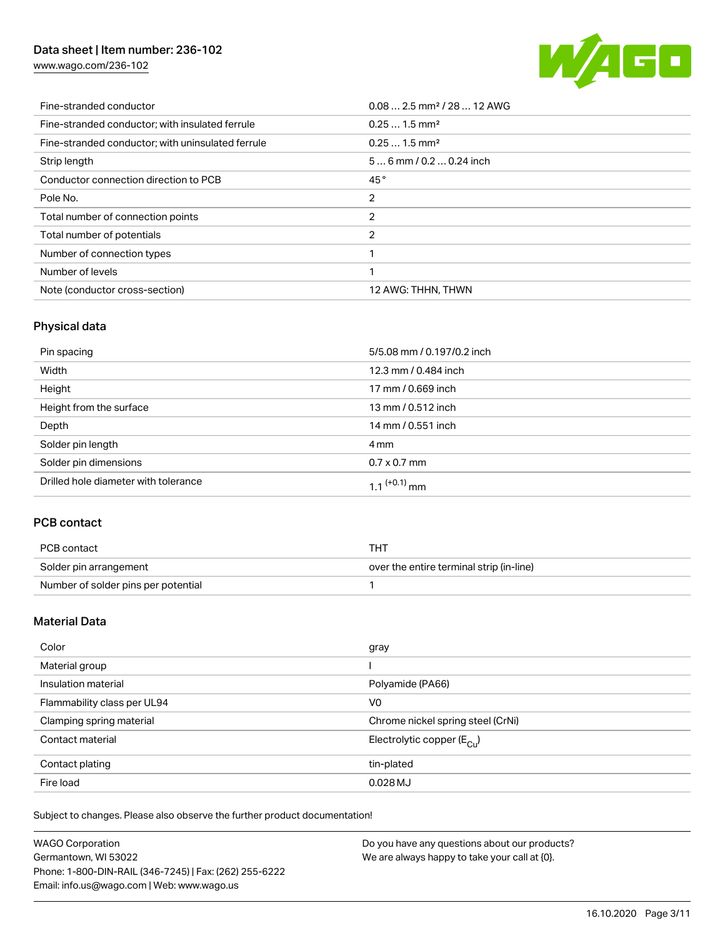[www.wago.com/236-102](http://www.wago.com/236-102)



| Fine-stranded conductor                           | $0.08$ 2.5 mm <sup>2</sup> / 28  12 AWG |
|---------------------------------------------------|-----------------------------------------|
| Fine-stranded conductor; with insulated ferrule   | $0.251.5$ mm <sup>2</sup>               |
| Fine-stranded conductor; with uninsulated ferrule | $0.251.5$ mm <sup>2</sup>               |
| Strip length                                      | $56$ mm / 0.2  0.24 inch                |
| Conductor connection direction to PCB             | 45°                                     |
| Pole No.                                          | 2                                       |
| Total number of connection points                 | 2                                       |
| Total number of potentials                        | $\overline{2}$                          |
| Number of connection types                        |                                         |
| Number of levels                                  |                                         |
| Note (conductor cross-section)                    | 12 AWG: THHN, THWN                      |

## Physical data

| Pin spacing                          | 5/5.08 mm / 0.197/0.2 inch |
|--------------------------------------|----------------------------|
| Width                                | 12.3 mm / 0.484 inch       |
| Height                               | 17 mm / 0.669 inch         |
| Height from the surface              | 13 mm / 0.512 inch         |
| Depth                                | 14 mm / 0.551 inch         |
| Solder pin length                    | 4 mm                       |
| Solder pin dimensions                | $0.7 \times 0.7$ mm        |
| Drilled hole diameter with tolerance | $1.1$ <sup>(+0.1)</sup> mm |

## PCB contact

| PCB contact                         | тнт                                      |
|-------------------------------------|------------------------------------------|
| Solder pin arrangement              | over the entire terminal strip (in-line) |
| Number of solder pins per potential |                                          |

## Material Data

| Color                       | gray                                   |
|-----------------------------|----------------------------------------|
| Material group              |                                        |
| Insulation material         | Polyamide (PA66)                       |
| Flammability class per UL94 | V <sub>0</sub>                         |
| Clamping spring material    | Chrome nickel spring steel (CrNi)      |
| Contact material            | Electrolytic copper $(E_{\text{CII}})$ |
| Contact plating             | tin-plated                             |
| Fire load                   | $0.028$ MJ                             |

Subject to changes. Please also observe the further product documentation!

| <b>WAGO Corporation</b>                                | Do you have any questions about our products? |
|--------------------------------------------------------|-----------------------------------------------|
| Germantown, WI 53022                                   | We are always happy to take your call at {0}. |
| Phone: 1-800-DIN-RAIL (346-7245)   Fax: (262) 255-6222 |                                               |
| Email: info.us@wago.com   Web: www.wago.us             |                                               |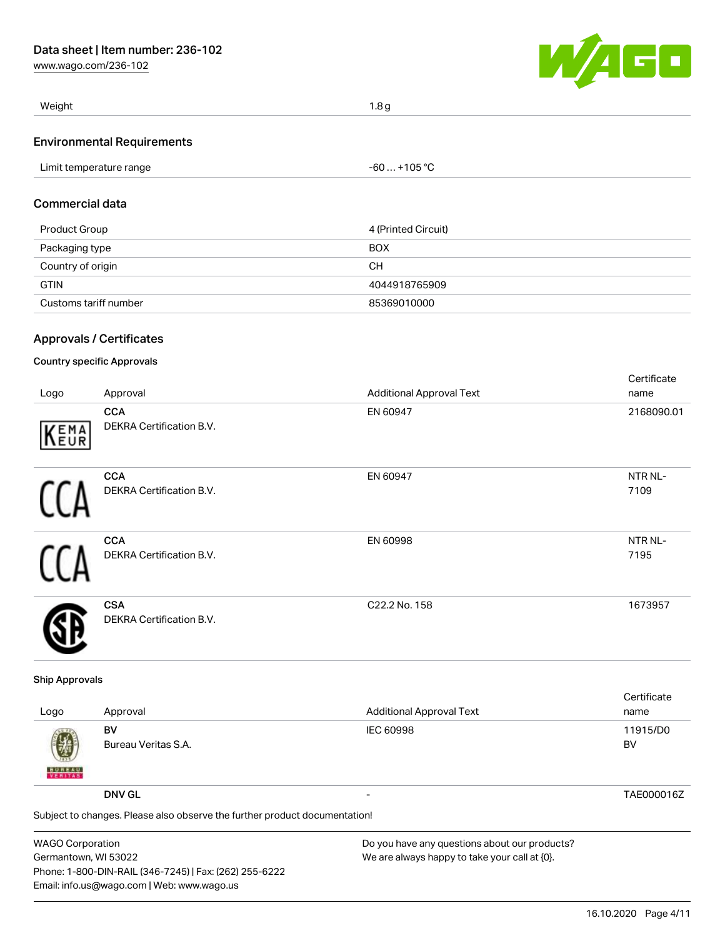[www.wago.com/236-102](http://www.wago.com/236-102)



| Weight                            | 1.8 <sub>q</sub> |  |
|-----------------------------------|------------------|--|
| <b>Environmental Requirements</b> |                  |  |
| Limit temperature range           | -60  +105 °C     |  |

#### Commercial data

| Product Group         | 4 (Printed Circuit) |
|-----------------------|---------------------|
| Packaging type        | <b>BOX</b>          |
| Country of origin     | CН                  |
| <b>GTIN</b>           | 4044918765909       |
| Customs tariff number | 85369010000         |

## Approvals / Certificates

### Country specific Approvals

| Logo | Approval                                      | <b>Additional Approval Text</b> | Certificate<br>name |
|------|-----------------------------------------------|---------------------------------|---------------------|
| KEMA | <b>CCA</b><br>DEKRA Certification B.V.        | EN 60947                        | 2168090.01          |
|      | <b>CCA</b><br>DEKRA Certification B.V.        | EN 60947                        | NTR NL-<br>7109     |
|      | <b>CCA</b><br><b>DEKRA Certification B.V.</b> | EN 60998                        | NTR NL-<br>7195     |
|      | <b>CSA</b><br><b>DEKRA Certification B.V.</b> | C22.2 No. 158                   | 1673957             |

#### Ship Approvals

| Logo               | Approval                                                                                    | <b>Additional Approval Text</b> | Certificate<br>name |
|--------------------|---------------------------------------------------------------------------------------------|---------------------------------|---------------------|
| 國<br><b>BUREAU</b> | BV<br>Bureau Veritas S.A.                                                                   | <b>IEC 60998</b>                | 11915/D0<br>BV      |
|                    | <b>DNV GL</b><br>Subject to changes. Please also observe the further product documentation! | $\overline{\phantom{0}}$        | TAE000016Z          |

| <b>WAGO Corporation</b>                                | Do you have any questions about our products? |
|--------------------------------------------------------|-----------------------------------------------|
| Germantown, WI 53022                                   | We are always happy to take your call at {0}. |
| Phone: 1-800-DIN-RAIL (346-7245)   Fax: (262) 255-6222 |                                               |
| Email: info.us@wago.com   Web: www.wago.us             |                                               |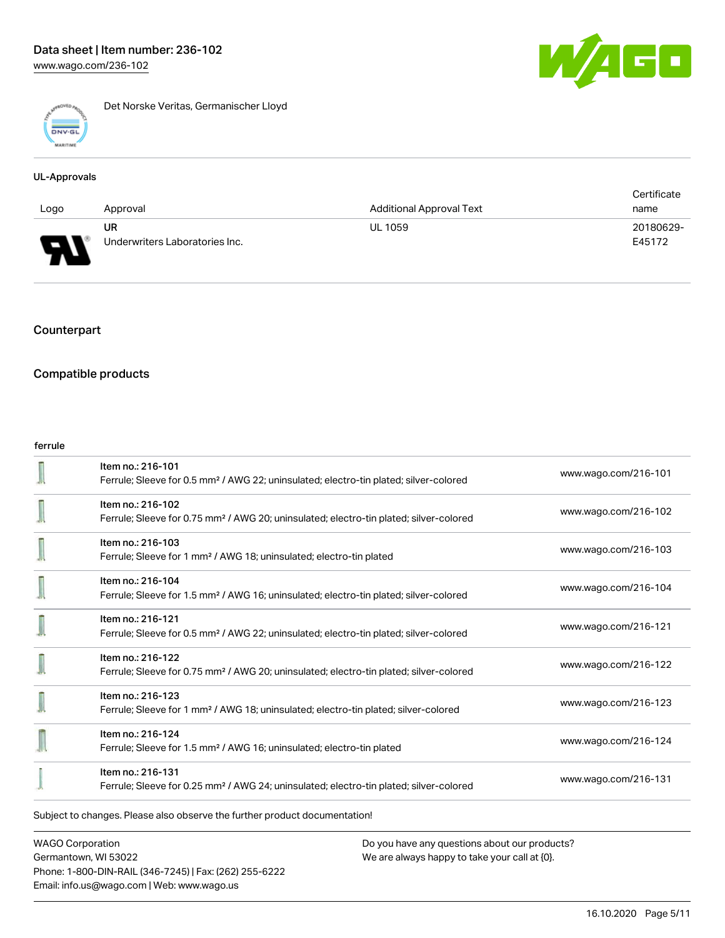

Det Norske Veritas, Germanischer Lloyd

#### UL-Approvals

|      |                                |                                 | Certificate |
|------|--------------------------------|---------------------------------|-------------|
| Logo | Approval                       | <b>Additional Approval Text</b> | name        |
|      | UR                             | <b>UL 1059</b>                  | 20180629-   |
| J    | Underwriters Laboratories Inc. |                                 | E45172      |

## Counterpart

## Compatible products

#### ferrule

|                                                                            | Item no.: 216-101<br>Ferrule; Sleeve for 0.5 mm <sup>2</sup> / AWG 22; uninsulated; electro-tin plated; silver-colored  | www.wago.com/216-101 |  |
|----------------------------------------------------------------------------|-------------------------------------------------------------------------------------------------------------------------|----------------------|--|
|                                                                            | Item no.: 216-102<br>Ferrule; Sleeve for 0.75 mm <sup>2</sup> / AWG 20; uninsulated; electro-tin plated; silver-colored | www.wago.com/216-102 |  |
|                                                                            | Item no.: 216-103<br>Ferrule; Sleeve for 1 mm <sup>2</sup> / AWG 18; uninsulated; electro-tin plated                    | www.wago.com/216-103 |  |
|                                                                            | Item no.: 216-104<br>Ferrule; Sleeve for 1.5 mm <sup>2</sup> / AWG 16; uninsulated; electro-tin plated; silver-colored  | www.wago.com/216-104 |  |
|                                                                            | Item no.: 216-121<br>Ferrule; Sleeve for 0.5 mm <sup>2</sup> / AWG 22; uninsulated; electro-tin plated; silver-colored  | www.wago.com/216-121 |  |
|                                                                            | Item no.: 216-122<br>Ferrule; Sleeve for 0.75 mm <sup>2</sup> / AWG 20; uninsulated; electro-tin plated; silver-colored | www.wago.com/216-122 |  |
|                                                                            | Item no.: 216-123<br>Ferrule; Sleeve for 1 mm <sup>2</sup> / AWG 18; uninsulated; electro-tin plated; silver-colored    | www.wago.com/216-123 |  |
|                                                                            | Item no.: 216-124<br>Ferrule; Sleeve for 1.5 mm <sup>2</sup> / AWG 16; uninsulated; electro-tin plated                  | www.wago.com/216-124 |  |
|                                                                            | Item no.: 216-131<br>Ferrule; Sleeve for 0.25 mm <sup>2</sup> / AWG 24; uninsulated; electro-tin plated; silver-colored | www.wago.com/216-131 |  |
| Subject to changes. Please also observe the further product documentation! |                                                                                                                         |                      |  |

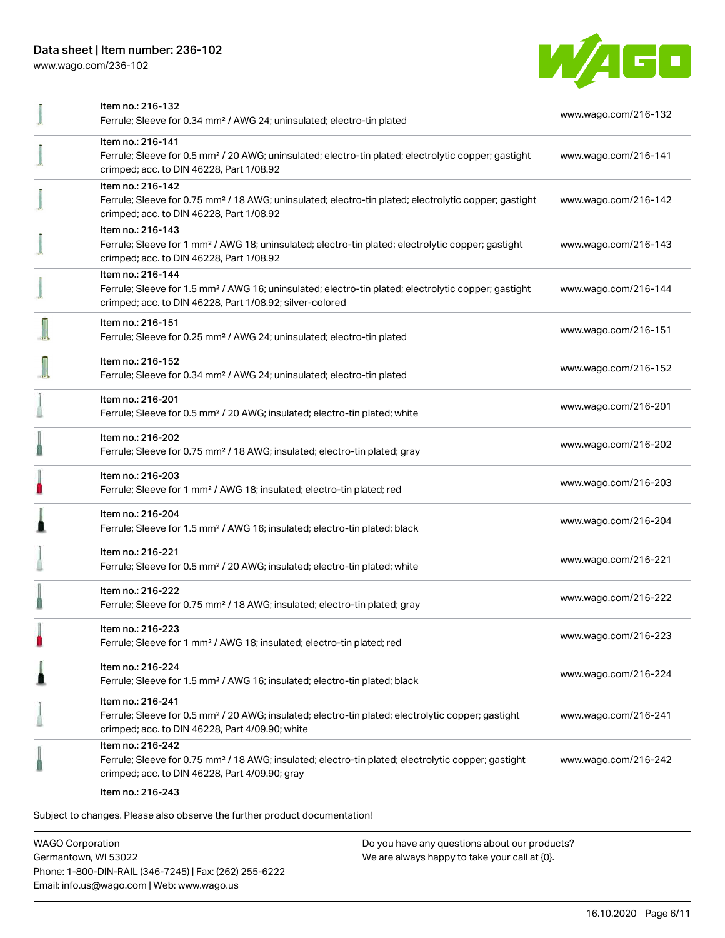[www.wago.com/236-102](http://www.wago.com/236-102)



| Item no.: 216-132<br>Ferrule; Sleeve for 0.34 mm <sup>2</sup> / AWG 24; uninsulated; electro-tin plated                                                                                           | www.wago.com/216-132 |
|---------------------------------------------------------------------------------------------------------------------------------------------------------------------------------------------------|----------------------|
| Item no.: 216-141<br>Ferrule; Sleeve for 0.5 mm <sup>2</sup> / 20 AWG; uninsulated; electro-tin plated; electrolytic copper; gastight<br>crimped; acc. to DIN 46228, Part 1/08.92                 | www.wago.com/216-141 |
| Item no.: 216-142<br>Ferrule; Sleeve for 0.75 mm <sup>2</sup> / 18 AWG; uninsulated; electro-tin plated; electrolytic copper; gastight<br>crimped; acc. to DIN 46228, Part 1/08.92                | www.wago.com/216-142 |
| Item no.: 216-143<br>Ferrule; Sleeve for 1 mm <sup>2</sup> / AWG 18; uninsulated; electro-tin plated; electrolytic copper; gastight<br>crimped; acc. to DIN 46228, Part 1/08.92                   | www.wago.com/216-143 |
| Item no.: 216-144<br>Ferrule; Sleeve for 1.5 mm <sup>2</sup> / AWG 16; uninsulated; electro-tin plated; electrolytic copper; gastight<br>crimped; acc. to DIN 46228, Part 1/08.92; silver-colored | www.wago.com/216-144 |
| Item no.: 216-151<br>Ferrule; Sleeve for 0.25 mm <sup>2</sup> / AWG 24; uninsulated; electro-tin plated                                                                                           | www.wago.com/216-151 |
| Item no.: 216-152<br>Ferrule; Sleeve for 0.34 mm <sup>2</sup> / AWG 24; uninsulated; electro-tin plated                                                                                           | www.wago.com/216-152 |
| Item no.: 216-201<br>Ferrule; Sleeve for 0.5 mm <sup>2</sup> / 20 AWG; insulated; electro-tin plated; white                                                                                       | www.wago.com/216-201 |
| Item no.: 216-202<br>Ferrule; Sleeve for 0.75 mm <sup>2</sup> / 18 AWG; insulated; electro-tin plated; gray                                                                                       | www.wago.com/216-202 |
| Item no.: 216-203<br>Ferrule; Sleeve for 1 mm <sup>2</sup> / AWG 18; insulated; electro-tin plated; red                                                                                           | www.wago.com/216-203 |
| Item no.: 216-204<br>Ferrule; Sleeve for 1.5 mm <sup>2</sup> / AWG 16; insulated; electro-tin plated; black                                                                                       | www.wago.com/216-204 |
| Item no.: 216-221<br>Ferrule; Sleeve for 0.5 mm <sup>2</sup> / 20 AWG; insulated; electro-tin plated; white                                                                                       | www.wago.com/216-221 |
| Item no.: 216-222<br>Ferrule; Sleeve for 0.75 mm <sup>2</sup> / 18 AWG; insulated; electro-tin plated; gray                                                                                       | www.wago.com/216-222 |
| Item no.: 216-223<br>Ferrule; Sleeve for 1 mm <sup>2</sup> / AWG 18; insulated; electro-tin plated; red                                                                                           | www.wago.com/216-223 |
| Item no.: 216-224<br>Ferrule; Sleeve for 1.5 mm <sup>2</sup> / AWG 16; insulated; electro-tin plated; black                                                                                       | www.wago.com/216-224 |
| Item no.: 216-241<br>Ferrule; Sleeve for 0.5 mm <sup>2</sup> / 20 AWG; insulated; electro-tin plated; electrolytic copper; gastight<br>crimped; acc. to DIN 46228, Part 4/09.90; white            | www.wago.com/216-241 |
| Item no.: 216-242<br>Ferrule; Sleeve for 0.75 mm <sup>2</sup> / 18 AWG; insulated; electro-tin plated; electrolytic copper; gastight<br>crimped; acc. to DIN 46228, Part 4/09.90; gray            | www.wago.com/216-242 |
| Item no.: 216-243                                                                                                                                                                                 |                      |

Subject to changes. Please also observe the further product documentation!

WAGO Corporation Germantown, WI 53022 Phone: 1-800-DIN-RAIL (346-7245) | Fax: (262) 255-6222 Email: info.us@wago.com | Web: www.wago.us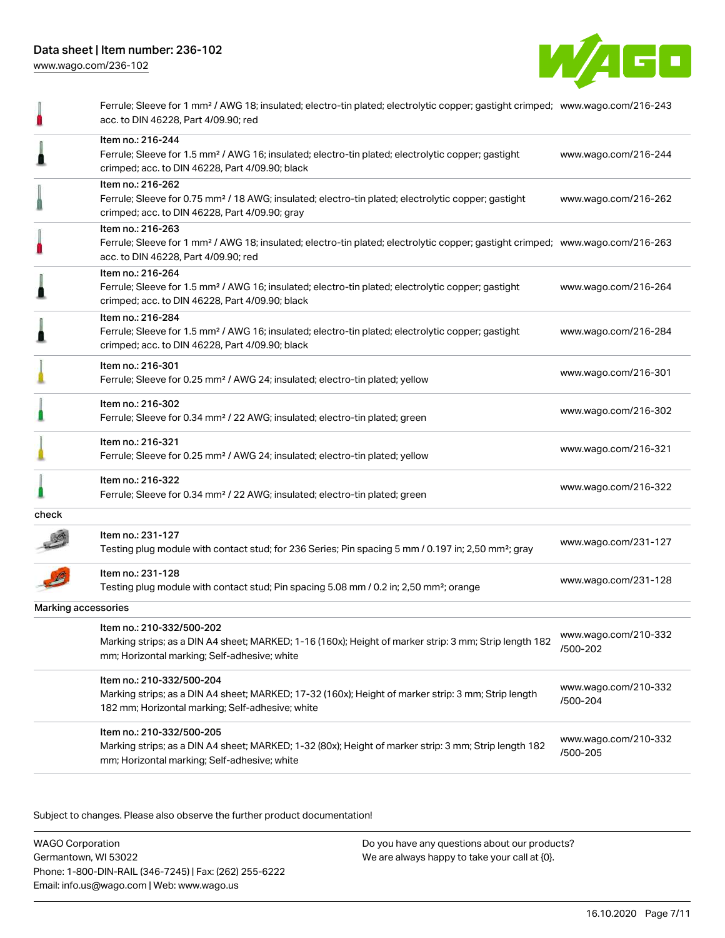

|                     | Ferrule; Sleeve for 1 mm <sup>2</sup> / AWG 18; insulated; electro-tin plated; electrolytic copper; gastight crimped; www.wago.com/216-243<br>acc. to DIN 46228, Part 4/09.90; red                      |                                  |
|---------------------|---------------------------------------------------------------------------------------------------------------------------------------------------------------------------------------------------------|----------------------------------|
|                     | Item no.: 216-244<br>Ferrule; Sleeve for 1.5 mm <sup>2</sup> / AWG 16; insulated; electro-tin plated; electrolytic copper; gastight<br>crimped; acc. to DIN 46228, Part 4/09.90; black                  | www.wago.com/216-244             |
|                     | Item no.: 216-262<br>Ferrule; Sleeve for 0.75 mm <sup>2</sup> / 18 AWG; insulated; electro-tin plated; electrolytic copper; gastight<br>crimped; acc. to DIN 46228, Part 4/09.90; gray                  | www.wago.com/216-262             |
|                     | Item no.: 216-263<br>Ferrule; Sleeve for 1 mm <sup>2</sup> / AWG 18; insulated; electro-tin plated; electrolytic copper; gastight crimped; www.wago.com/216-263<br>acc. to DIN 46228, Part 4/09.90; red |                                  |
|                     | Item no.: 216-264<br>Ferrule; Sleeve for 1.5 mm <sup>2</sup> / AWG 16; insulated; electro-tin plated; electrolytic copper; gastight<br>crimped; acc. to DIN 46228, Part 4/09.90; black                  | www.wago.com/216-264             |
|                     | Item no.: 216-284<br>Ferrule; Sleeve for 1.5 mm <sup>2</sup> / AWG 16; insulated; electro-tin plated; electrolytic copper; gastight<br>crimped; acc. to DIN 46228, Part 4/09.90; black                  | www.wago.com/216-284             |
|                     | Item no.: 216-301<br>Ferrule; Sleeve for 0.25 mm <sup>2</sup> / AWG 24; insulated; electro-tin plated; yellow                                                                                           | www.wago.com/216-301             |
|                     | Item no.: 216-302<br>Ferrule; Sleeve for 0.34 mm <sup>2</sup> / 22 AWG; insulated; electro-tin plated; green                                                                                            | www.wago.com/216-302             |
|                     | Item no.: 216-321<br>Ferrule; Sleeve for 0.25 mm <sup>2</sup> / AWG 24; insulated; electro-tin plated; yellow                                                                                           | www.wago.com/216-321             |
|                     | Item no.: 216-322<br>Ferrule; Sleeve for 0.34 mm <sup>2</sup> / 22 AWG; insulated; electro-tin plated; green                                                                                            | www.wago.com/216-322             |
| check               |                                                                                                                                                                                                         |                                  |
|                     | Item no.: 231-127<br>Testing plug module with contact stud; for 236 Series; Pin spacing 5 mm / 0.197 in; 2,50 mm <sup>2</sup> ; gray                                                                    | www.wago.com/231-127             |
|                     | Item no.: 231-128<br>Testing plug module with contact stud; Pin spacing 5.08 mm / 0.2 in; 2,50 mm <sup>2</sup> ; orange                                                                                 | www.wago.com/231-128             |
| Marking accessories |                                                                                                                                                                                                         |                                  |
|                     | Item no.: 210-332/500-202<br>Marking strips; as a DIN A4 sheet; MARKED; 1-16 (160x); Height of marker strip: 3 mm; Strip length 182<br>mm; Horizontal marking; Self-adhesive; white                     | www.wago.com/210-332<br>/500-202 |
|                     | Item no.: 210-332/500-204<br>Marking strips; as a DIN A4 sheet; MARKED; 17-32 (160x); Height of marker strip: 3 mm; Strip length<br>182 mm; Horizontal marking; Self-adhesive; white                    | www.wago.com/210-332<br>/500-204 |
|                     | Item no.: 210-332/500-205<br>Marking strips; as a DIN A4 sheet; MARKED; 1-32 (80x); Height of marker strip: 3 mm; Strip length 182<br>mm; Horizontal marking; Self-adhesive; white                      | www.wago.com/210-332<br>/500-205 |
|                     |                                                                                                                                                                                                         |                                  |

Subject to changes. Please also observe the further product documentation!

WAGO Corporation Germantown, WI 53022 Phone: 1-800-DIN-RAIL (346-7245) | Fax: (262) 255-6222 Email: info.us@wago.com | Web: www.wago.us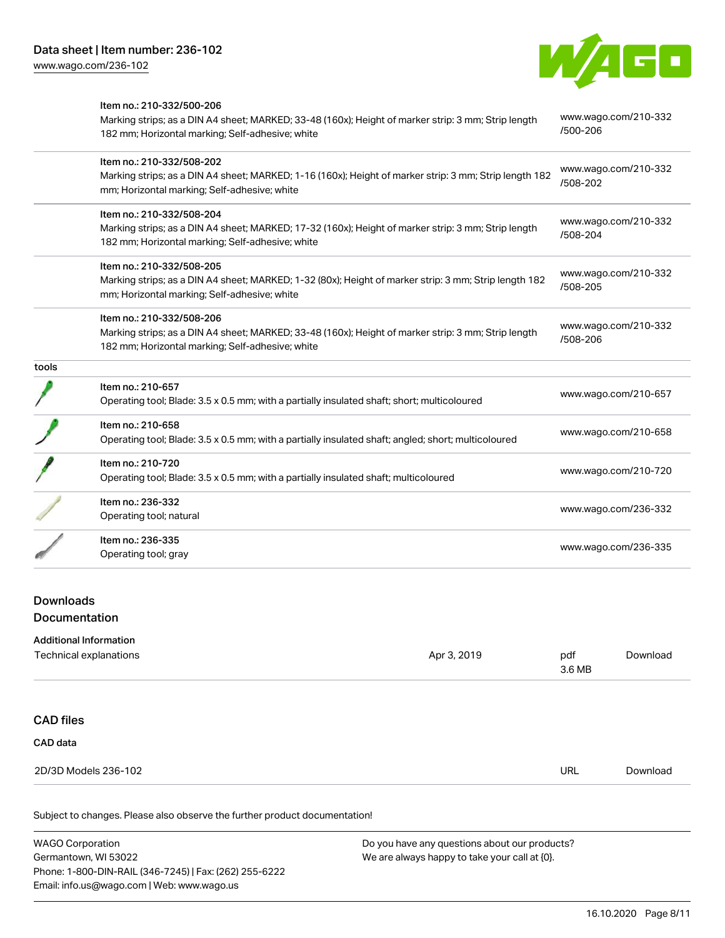Item no.: 210-332/500-206



|       | Marking strips; as a DIN A4 sheet; MARKED; 33-48 (160x); Height of marker strip: 3 mm; Strip length<br>182 mm; Horizontal marking; Self-adhesive; white                              | www.wago.com/210-332<br>/500-206 |
|-------|--------------------------------------------------------------------------------------------------------------------------------------------------------------------------------------|----------------------------------|
|       | Item no.: 210-332/508-202<br>Marking strips; as a DIN A4 sheet; MARKED; 1-16 (160x); Height of marker strip: 3 mm; Strip length 182<br>mm; Horizontal marking; Self-adhesive; white  | www.wago.com/210-332<br>/508-202 |
|       | Item no.: 210-332/508-204<br>Marking strips; as a DIN A4 sheet; MARKED; 17-32 (160x); Height of marker strip: 3 mm; Strip length<br>182 mm; Horizontal marking; Self-adhesive; white | www.wago.com/210-332<br>/508-204 |
|       | Item no.: 210-332/508-205<br>Marking strips; as a DIN A4 sheet; MARKED; 1-32 (80x); Height of marker strip: 3 mm; Strip length 182<br>mm; Horizontal marking; Self-adhesive; white   | www.wago.com/210-332<br>/508-205 |
|       | Item no.: 210-332/508-206<br>Marking strips; as a DIN A4 sheet; MARKED; 33-48 (160x); Height of marker strip: 3 mm; Strip length<br>182 mm; Horizontal marking; Self-adhesive; white | www.wago.com/210-332<br>/508-206 |
| tools |                                                                                                                                                                                      |                                  |
|       | Item no.: 210-657<br>Operating tool; Blade: 3.5 x 0.5 mm; with a partially insulated shaft; short; multicoloured                                                                     | www.wago.com/210-657             |
|       | Item no.: 210-658<br>Operating tool; Blade: 3.5 x 0.5 mm; with a partially insulated shaft; angled; short; multicoloured                                                             | www.wago.com/210-658             |
|       | Item no.: 210-720<br>Operating tool; Blade: 3.5 x 0.5 mm; with a partially insulated shaft; multicoloured                                                                            | www.wago.com/210-720             |
|       | Item no.: 236-332<br>Operating tool; natural                                                                                                                                         | www.wago.com/236-332             |
|       | Item no.: 236-335<br>Operating tool; gray                                                                                                                                            | www.wago.com/236-335             |

## Downloads **Documentation**

## Additional Information Technical explanations and the set of the set of the set of the set of the set of the set of the set of the set of the set of the set of the set of the set of the set of the set of the set of the set of the set of the set 3.6 MB [Download](https://www.wago.com/us/d/1435602) CAD files CAD data 2D/3D Models 236-102 URL [Download](https://www.wago.com/us/d/3D_URLS_236-102)

Subject to changes. Please also observe the further product documentation!

WAGO Corporation Germantown, WI 53022 Phone: 1-800-DIN-RAIL (346-7245) | Fax: (262) 255-6222 Email: info.us@wago.com | Web: www.wago.us Do you have any questions about our products? We are always happy to take your call at {0}.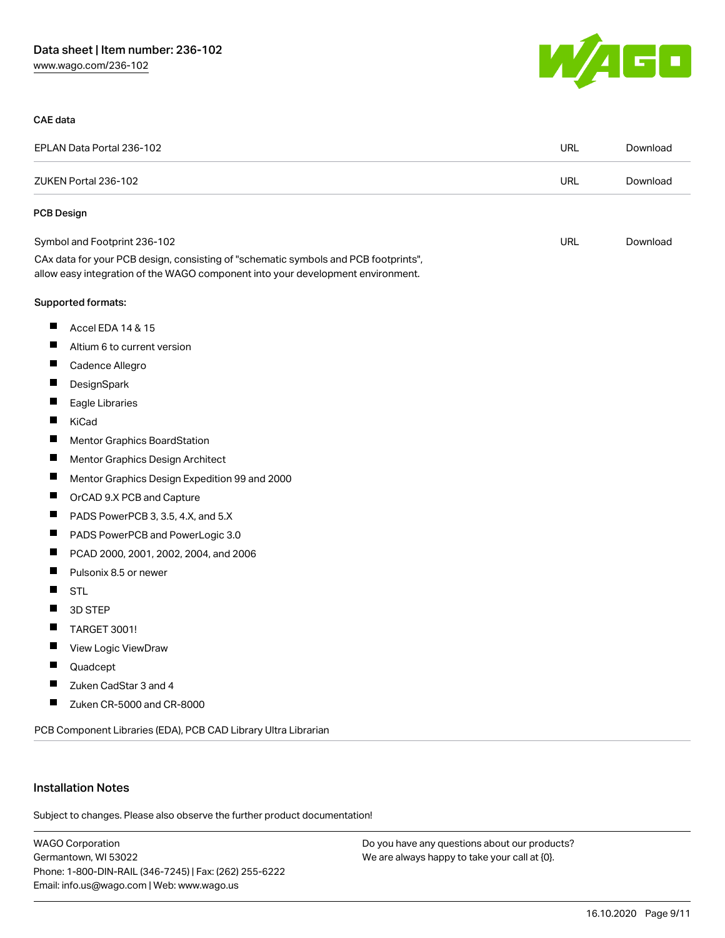

#### CAE data

| EPLAN Data Portal 236-102<br>ZUKEN Portal 236-102 |                                                                                                                                                                        | <b>URL</b> | Download |
|---------------------------------------------------|------------------------------------------------------------------------------------------------------------------------------------------------------------------------|------------|----------|
|                                                   |                                                                                                                                                                        | <b>URL</b> | Download |
| PCB Design                                        |                                                                                                                                                                        |            |          |
|                                                   | Symbol and Footprint 236-102                                                                                                                                           | <b>URL</b> | Download |
|                                                   | CAx data for your PCB design, consisting of "schematic symbols and PCB footprints",<br>allow easy integration of the WAGO component into your development environment. |            |          |
|                                                   | Supported formats:                                                                                                                                                     |            |          |
| ш                                                 | Accel EDA 14 & 15                                                                                                                                                      |            |          |
|                                                   | Altium 6 to current version                                                                                                                                            |            |          |
| ш                                                 | Cadence Allegro                                                                                                                                                        |            |          |
| ш                                                 | DesignSpark                                                                                                                                                            |            |          |
|                                                   | Eagle Libraries                                                                                                                                                        |            |          |
| ш                                                 | KiCad                                                                                                                                                                  |            |          |
| ш                                                 | Mentor Graphics BoardStation                                                                                                                                           |            |          |
| $\blacksquare$                                    | Mentor Graphics Design Architect                                                                                                                                       |            |          |
| Ш                                                 | Mentor Graphics Design Expedition 99 and 2000                                                                                                                          |            |          |
| Ш                                                 | OrCAD 9.X PCB and Capture                                                                                                                                              |            |          |
| Ш                                                 | PADS PowerPCB 3, 3.5, 4.X, and 5.X                                                                                                                                     |            |          |
| ш                                                 | PADS PowerPCB and PowerLogic 3.0                                                                                                                                       |            |          |
| ш                                                 | PCAD 2000, 2001, 2002, 2004, and 2006                                                                                                                                  |            |          |
| ш                                                 | Pulsonix 8.5 or newer                                                                                                                                                  |            |          |
| Ш                                                 | <b>STL</b>                                                                                                                                                             |            |          |
| Ш                                                 | 3D STEP                                                                                                                                                                |            |          |
| Ш                                                 | TARGET 3001!                                                                                                                                                           |            |          |
| Ш                                                 | View Logic ViewDraw                                                                                                                                                    |            |          |
| ш                                                 | Quadcept                                                                                                                                                               |            |          |
| Ш                                                 | Zuken CadStar 3 and 4                                                                                                                                                  |            |          |
| ш                                                 | Zuken CR-5000 and CR-8000                                                                                                                                              |            |          |
|                                                   | PCB Component Libraries (EDA), PCB CAD Library Ultra Librarian                                                                                                         |            |          |

#### Installation Notes

Subject to changes. Please also observe the further product documentation!

WAGO Corporation Germantown, WI 53022 Phone: 1-800-DIN-RAIL (346-7245) | Fax: (262) 255-6222 Email: info.us@wago.com | Web: www.wago.us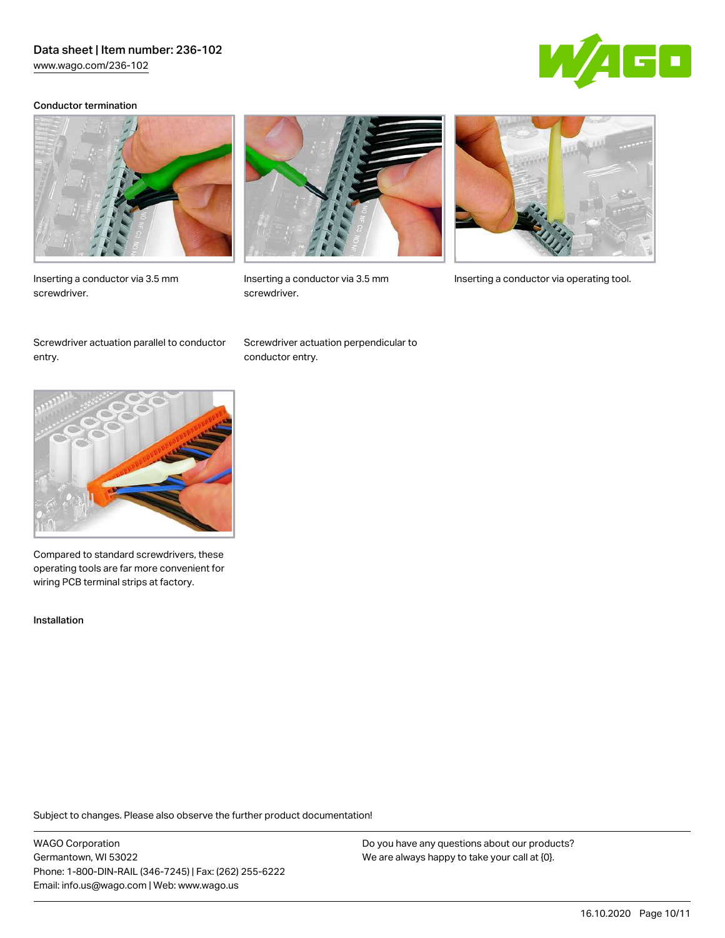[www.wago.com/236-102](http://www.wago.com/236-102)



#### Conductor termination



Inserting a conductor via 3.5 mm screwdriver.



screwdriver.



Inserting a conductor via 3.5 mm Inserting a conductor via operating tool.

Screwdriver actuation parallel to conductor entry.

Screwdriver actuation perpendicular to conductor entry.



Compared to standard screwdrivers, these operating tools are far more convenient for wiring PCB terminal strips at factory.

Installation

Subject to changes. Please also observe the further product documentation!

WAGO Corporation Germantown, WI 53022 Phone: 1-800-DIN-RAIL (346-7245) | Fax: (262) 255-6222 Email: info.us@wago.com | Web: www.wago.us